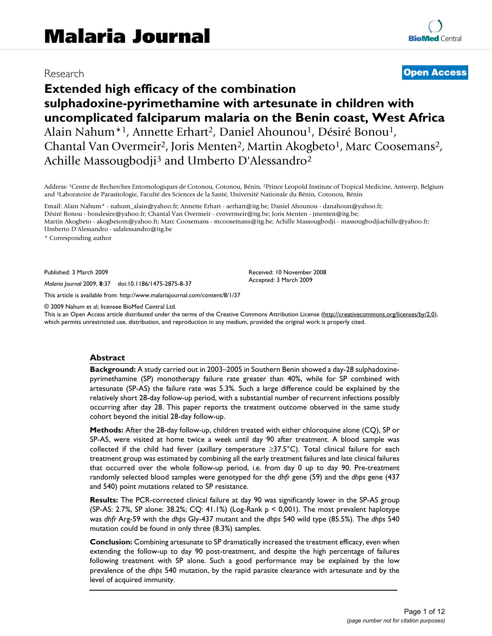## Research **[Open Access](http://www.biomedcentral.com/info/about/charter/)**

# **Extended high efficacy of the combination sulphadoxine-pyrimethamine with artesunate in children with uncomplicated falciparum malaria on the Benin coast, West Africa** Alain Nahum<sup>\*1</sup>, Annette Erhart<sup>2</sup>, Daniel Ahounou<sup>1</sup>, Désiré Bonou<sup>1</sup>, Chantal Van Overmeir<sup>2</sup>, Joris Menten<sup>2</sup>, Martin Akogbeto<sup>1</sup>, Marc Coosemans<sup>2</sup>, Achille Massougbodji<sup>3</sup> and Umberto D'Alessandro<sup>2</sup>

Address: 1Centre de Recherches Entomologiques de Cotonou, Cotonou, Bénin, 2Prince Leopold Institute of Tropical Medicine, Antwerp, Belgium and 3Laboratoire de Parasitologie, Faculté des Sciences de la Santé, Université Nationale du Bénin, Cotonou, Bénin

Email: Alain Nahum\* - nahum\_alain@yahoo.fr; Annette Erhart - aerhart@itg.be; Daniel Ahounou - danahoun@yahoo.fr; Désiré Bonou - bondesire@yahoo.fr; Chantal Van Overmeir - cvovermeir@itg.be; Joris Menten - jmenten@itg.be; Martin Akogbeto - akogbetom@yahoo.fr; Marc Coosemans - mcoosemans@itg.be; Achille Massougbodji - massougbodjiachille@yahoo.fr; Umberto D'Alessandro - udalessandro@itg.be

\* Corresponding author

Published: 3 March 2009

*Malaria Journal* 2009, **8**:37 doi:10.1186/1475-2875-8-37

[This article is available from: http://www.malariajournal.com/content/8/1/37](http://www.malariajournal.com/content/8/1/37)

© 2009 Nahum et al; licensee BioMed Central Ltd.

This is an Open Access article distributed under the terms of the Creative Commons Attribution License [\(http://creativecommons.org/licenses/by/2.0\)](http://creativecommons.org/licenses/by/2.0), which permits unrestricted use, distribution, and reproduction in any medium, provided the original work is properly cited.

Received: 10 November 2008 Accepted: 3 March 2009

#### **Abstract**

**Background:** A study carried out in 2003–2005 in Southern Benin showed a day-28 sulphadoxinepyrimethamine (SP) monotherapy failure rate greater than 40%, while for SP combined with artesunate (SP-AS) the failure rate was 5.3%. Such a large difference could be explained by the relatively short 28-day follow-up period, with a substantial number of recurrent infections possibly occurring after day 28. This paper reports the treatment outcome observed in the same study cohort beyond the initial 28-day follow-up.

**Methods:** After the 28-day follow-up, children treated with either chloroquine alone (CQ), SP or SP-AS, were visited at home twice a week until day 90 after treatment. A blood sample was collected if the child had fever (axillary temperature  $\geq$ 37.5°C). Total clinical failure for each treatment group was estimated by combining all the early treatment failures and late clinical failures that occurred over the whole follow-up period, i.e. from day 0 up to day 90. Pre-treatment randomly selected blood samples were genotyped for the *dhfr* gene (59) and the *dhps* gene (437 and 540) point mutations related to SP resistance.

**Results:** The PCR-corrected clinical failure at day 90 was significantly lower in the SP-AS group (SP-AS: 2.7%, SP alone: 38.2%; CQ: 41.1%) (Log-Rank p < 0,001). The most prevalent haplotype was *dhfr* Arg-59 with the *dhps* Gly-437 mutant and the *dhps* 540 wild type (85.5%). The *dhps* 540 mutation could be found in only three (8.3%) samples.

**Conclusion:** Combining artesunate to SP dramatically increased the treatment efficacy, even when extending the follow-up to day 90 post-treatment, and despite the high percentage of failures following treatment with SP alone. Such a good performance may be explained by the low prevalence of the *dhps* 540 mutation, by the rapid parasite clearance with artesunate and by the level of acquired immunity.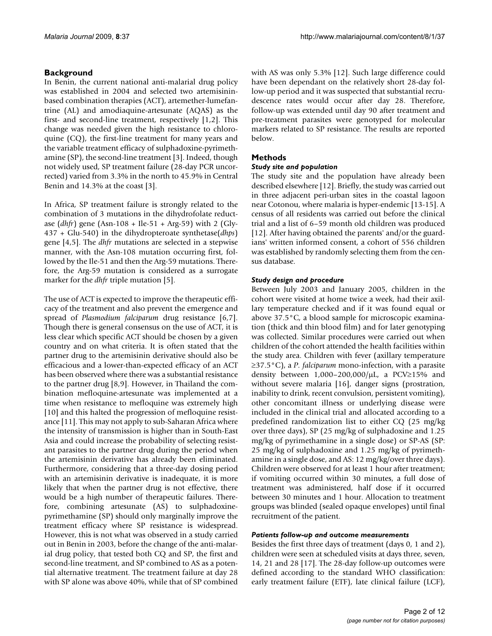#### **Background**

In Benin, the current national anti-malarial drug policy was established in 2004 and selected two artemisininbased combination therapies (ACT), artemether-lumefantrine (AL) and amodiaquine-artesunate (AQAS) as the first- and second-line treatment, respectively [1,2]. This change was needed given the high resistance to chloroquine (CQ), the first-line treatment for many years and the variable treatment efficacy of sulphadoxine-pyrimethamine (SP), the second-line treatment [3]. Indeed, though not widely used, SP treatment failure (28-day PCR uncorrected) varied from 3.3% in the north to 45.9% in Central Benin and 14.3% at the coast [3].

In Africa, SP treatment failure is strongly related to the combination of 3 mutations in the dihydrofolate reductase (*dhfr*) gene (Asn-108 + Ile-51 + Arg-59) with 2 (Gly-437 + Glu-540) in the dihydropteroate synthetase(*dhps*) gene [4,5]. The *dhfr* mutations are selected in a stepwise manner, with the Asn-108 mutation occurring first, followed by the Ile-51 and then the Arg-59 mutations. Therefore, the Arg-59 mutation is considered as a surrogate marker for the *dhfr* triple mutation [5].

The use of ACT is expected to improve the therapeutic efficacy of the treatment and also prevent the emergence and spread of *Plasmodium falciparum* drug resistance [6,7]. Though there is general consensus on the use of ACT, it is less clear which specific ACT should be chosen by a given country and on what criteria. It is often stated that the partner drug to the artemisinin derivative should also be efficacious and a lower-than-expected efficacy of an ACT has been observed where there was a substantial resistance to the partner drug [8,9]. However, in Thailand the combination mefloquine-artesunate was implemented at a time when resistance to mefloquine was extremely high [10] and this halted the progression of mefloquine resistance [11]. This may not apply to sub-Saharan Africa where the intensity of transmission is higher than in South-East Asia and could increase the probability of selecting resistant parasites to the partner drug during the period when the artemisinin derivative has already been eliminated. Furthermore, considering that a three-day dosing period with an artemisinin derivative is inadequate, it is more likely that when the partner drug is not effective, there would be a high number of therapeutic failures. Therefore, combining artesunate (AS) to sulphadoxinepyrimethamine (SP) should only marginally improve the treatment efficacy where SP resistance is widespread. However, this is not what was observed in a study carried out in Benin in 2003, before the change of the anti-malarial drug policy, that tested both CQ and SP, the first and second-line treatment, and SP combined to AS as a potential alternative treatment. The treatment failure at day 28 with SP alone was above 40%, while that of SP combined

with AS was only 5.3% [12]. Such large difference could have been dependant on the relatively short 28-day follow-up period and it was suspected that substantial recrudescence rates would occur after day 28. Therefore, follow-up was extended until day 90 after treatment and pre-treatment parasites were genotyped for molecular markers related to SP resistance. The results are reported below.

### **Methods**

#### *Study site and population*

The study site and the population have already been described elsewhere [12]. Briefly, the study was carried out in three adjacent peri-urban sites in the coastal lagoon near Cotonou, where malaria is hyper-endemic [13-15]. A census of all residents was carried out before the clinical trial and a list of 6–59 month old children was produced [12]. After having obtained the parents' and/or the guardians' written informed consent, a cohort of 556 children was established by randomly selecting them from the census database.

#### *Study design and procedure*

Between July 2003 and January 2005, children in the cohort were visited at home twice a week, had their axillary temperature checked and if it was found equal or above 37.5°C, a blood sample for microscopic examination (thick and thin blood film) and for later genotyping was collected. Similar procedures were carried out when children of the cohort attended the health facilities within the study area. Children with fever (axillary temperature ≥37.5°C), a *P. falciparum* mono-infection, with a parasite density between 1,000–200,000/μL, a PCV≥15% and without severe malaria [16], danger signs (prostration, inability to drink, recent convulsion, persistent vomiting), other concomitant illness or underlying disease were included in the clinical trial and allocated according to a predefined randomization list to either CQ (25 mg/kg over three days), SP (25 mg/kg of sulphadoxine and 1.25 mg/kg of pyrimethamine in a single dose) or SP-AS (SP: 25 mg/kg of sulphadoxine and 1.25 mg/kg of pyrimethamine in a single dose, and AS: 12 mg/kg/over three days). Children were observed for at least 1 hour after treatment; if vomiting occurred within 30 minutes, a full dose of treatment was administered, half dose if it occurred between 30 minutes and 1 hour. Allocation to treatment groups was blinded (sealed opaque envelopes) until final recruitment of the patient.

#### *Patients follow-up and outcome measurements*

Besides the first three days of treatment (days 0, 1 and 2), children were seen at scheduled visits at days three, seven, 14, 21 and 28 [17]. The 28-day follow-up outcomes were defined according to the standard WHO classification: early treatment failure (ETF), late clinical failure (LCF),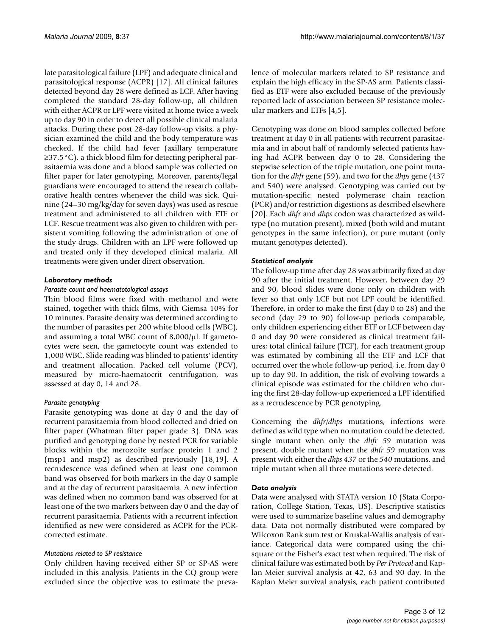late parasitological failure (LPF) and adequate clinical and parasitological response (ACPR) [17]. All clinical failures detected beyond day 28 were defined as LCF. After having completed the standard 28-day follow-up, all children with either ACPR or LPF were visited at home twice a week up to day 90 in order to detect all possible clinical malaria attacks. During these post 28-day follow-up visits, a physician examined the child and the body temperature was checked. If the child had fever (axillary temperature ≥37.5°C), a thick blood film for detecting peripheral parasitaemia was done and a blood sample was collected on filter paper for later genotyping. Moreover, parents/legal guardians were encouraged to attend the research collaborative health centres whenever the child was sick. Quinine (24–30 mg/kg/day for seven days) was used as rescue treatment and administered to all children with ETF or LCF. Rescue treatment was also given to children with persistent vomiting following the administration of one of the study drugs. Children with an LPF were followed up and treated only if they developed clinical malaria. All treatments were given under direct observation.

#### *Laboratory methods*

#### *Parasite count and haematotological assays*

Thin blood films were fixed with methanol and were stained, together with thick films, with Giemsa 10% for 10 minutes. Parasite density was determined according to the number of parasites per 200 white blood cells (WBC), and assuming a total WBC count of 8,000/μl. If gametocytes were seen, the gametocyte count was extended to 1,000 WBC. Slide reading was blinded to patients' identity and treatment allocation. Packed cell volume (PCV), measured by micro-haematocrit centrifugation, was assessed at day 0, 14 and 28.

#### *Parasite genotyping*

Parasite genotyping was done at day 0 and the day of recurrent parasitaemia from blood collected and dried on filter paper (Whatman filter paper grade 3). DNA was purified and genotyping done by nested PCR for variable blocks within the merozoite surface protein 1 and 2 (msp1 and msp2) as described previously [\[18](#page-10-0),19]. A recrudescence was defined when at least one common band was observed for both markers in the day 0 sample and at the day of recurrent parasitaemia. A new infection was defined when no common band was observed for at least one of the two markers between day 0 and the day of recurrent parasitaemia. Patients with a recurrent infection identified as new were considered as ACPR for the PCRcorrected estimate.

#### *Mutations related to SP resistance*

Only children having received either SP or SP-AS were included in this analysis. Patients in the CQ group were excluded since the objective was to estimate the prevalence of molecular markers related to SP resistance and explain the high efficacy in the SP-AS arm. Patients classified as ETF were also excluded because of the previously reported lack of association between SP resistance molecular markers and ETFs [4,5].

Genotyping was done on blood samples collected before treatment at day 0 in all patients with recurrent parasitaemia and in about half of randomly selected patients having had ACPR between day 0 to 28. Considering the stepwise selection of the triple mutation, one point mutation for the *dhfr* gene (59), and two for the *dhps* gene (437 and 540) were analysed. Genotyping was carried out by mutation-specific nested polymerase chain reaction (PCR) and/or restriction digestions as described elsewhere [20]. Each *dhfr* and *dhps* codon was characterized as wildtype (no mutation present), mixed (both wild and mutant genotypes in the same infection), or pure mutant (only mutant genotypes detected).

#### *Statistical analysis*

The follow-up time after day 28 was arbitrarily fixed at day 90 after the initial treatment. However, between day 29 and 90, blood slides were done only on children with fever so that only LCF but not LPF could be identified. Therefore, in order to make the first (day 0 to 28) and the second (day 29 to 90) follow-up periods comparable, only children experiencing either ETF or LCF between day 0 and day 90 were considered as clinical treatment failures; total clinical failure (TCF), for each treatment group was estimated by combining all the ETF and LCF that occurred over the whole follow-up period, i.e. from day 0 up to day 90. In addition, the risk of evolving towards a clinical episode was estimated for the children who during the first 28-day follow-up experienced a LPF identified as a recrudescence by PCR genotyping.

Concerning the *dhfr/dhps* mutations, infections were defined as wild type when no mutation could be detected, single mutant when only the *dhfr 59* mutation was present, double mutant when the *dhfr 59* mutation was present with either the *dhps 437* or the *540* mutations, and triple mutant when all three mutations were detected.

#### *Data analysis*

Data were analysed with STATA version 10 (Stata Corporation, College Station, Texas, US). Descriptive statistics were used to summarize baseline values and demography data. Data not normally distributed were compared by Wilcoxon Rank sum test or Kruskal-Wallis analysis of variance. Categorical data were compared using the chisquare or the Fisher's exact test when required. The risk of clinical failure was estimated both by *Per Protocol* and Kaplan Meier survival analysis at 42, 63 and 90 day. In the Kaplan Meier survival analysis, each patient contributed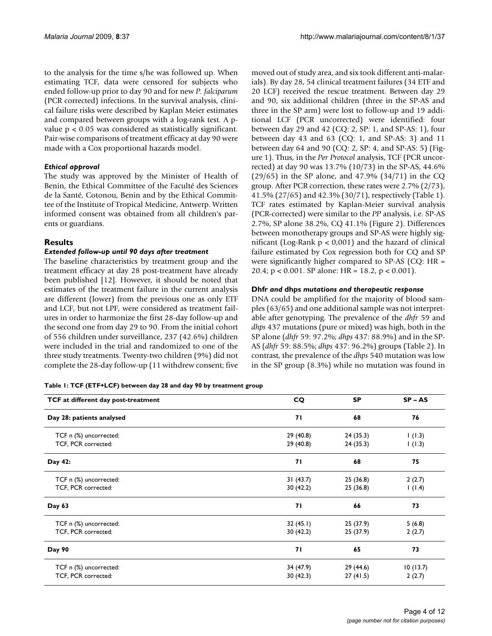to the analysis for the time s/he was followed up. When estimating TCF, data were censored for subjects who ended follow-up prior to day 90 and for new *P. falciparum* (PCR corrected) infections. In the survival analysis, clinical failure risks were described by Kaplan Meier estimates and compared between groups with a log-rank test. A pvalue p < 0.05 was considered as statistically significant. Pair-wise comparisons of treatment efficacy at day 90 were made with a Cox proportional hazards model.

#### *Ethical approval*

The study was approved by the Minister of Health of Benin, the Ethical Committee of the Faculté des Sciences de la Santé, Cotonou, Benin and by the Ethical Committee of the Institute of Tropical Medicine, Antwerp. Written informed consent was obtained from all children's parents or guardians.

#### **Results**

#### *Extended follow-up until 90 days after treatment*

The baseline characteristics by treatment group and the treatment efficacy at day 28 post-treatment have already been published [12]. However, it should be noted that estimates of the treatment failure in the current analysis are different (lower) from the previous one as only ETF and LCF, but not LPF, were considered as treatment failures in order to harmonize the first 28-day follow-up and the second one from day 29 to 90. From the initial cohort of 556 children under surveillance, 237 (42.6%) children were included in the trial and randomized to one of the three study treatments. Twenty-two children (9%) did not complete the 28-day follow-up (11 withdrew consent; five moved out of study area, and six took different anti-malarials). By day 28, 54 clinical treatment failures (34 ETF and 20 LCF) received the rescue treatment. Between day 29 and 90, six additional children (three in the SP-AS and three in the SP arm) were lost to follow-up and 19 additional LCF (PCR uncorrected) were identified: four between day 29 and 42 (CQ: 2, SP: 1, and SP-AS: 1), four between day 43 and 63 (CQ: 1, and SP-AS: 3) and 11 between day 64 and 90 (CQ: 2, SP: 4, and SP-AS: 5) (Figure 1). Thus, in the *Per Protocol* analysis, TCF (PCR uncorrected) at day 90 was 13.7% (10/73) in the SP-AS, 44.6% (29/65) in the SP alone, and 47.9% (34/71) in the CQ group. After PCR correction, these rates were 2.7% (2/73), 41.5% (27/65) and 42.3% (30/71), respectively (Table 1). TCF rates estimated by Kaplan-Meier survival analysis (PCR-corrected) were similar to the *PP* analysis, i.e. SP-AS 2.7%, SP alone 38.2%, CQ 41.1% (Figure 2). Differences between monotherapy groups and SP-AS were highly significant (Log-Rank  $p < 0.001$ ) and the hazard of clinical failure estimated by Cox regression both for CQ and SP were significantly higher compared to SP-AS (CQ: HR = 20.4; p < 0.001. SP alone: HR = 18.2, p < 0.001).

#### **Dhfr** *and* **dhps** *mutations and therapeutic response*

DNA could be amplified for the majority of blood samples (63/65) and one additional sample was not interpretable after genotyping. The prevalence of the *dhfr* 59 and *dhps* 437 mutations (pure or mixed) was high, both in the SP alone (*dhfr* 59: 97.2%; *dhps* 437: 88.9%) and in the SP-AS (*dhfr* 59: 88.5%; *dhps* 437: 96.2%) groups (Table 2). In contrast, the prevalence of the *dhps* 540 mutation was low in the SP group (8.3%) while no mutation was found in

**Table 1: TCF (ETF+LCF) between day 28 and day 90 by treatment group**

| TCF at different day post-treatment | <b>CQ</b> | <b>SP</b> | $SP - AS$ |
|-------------------------------------|-----------|-----------|-----------|
| Day 28: patients analysed           | 71        | 68        | 76        |
| TCF n (%) uncorrected:              | 29 (40.8) | 24(35.3)  | 1(1.3)    |
| TCF, PCR corrected:                 | 29(40.8)  | 24(35.3)  | 1(1.3)    |
| Day 42:                             | 71        | 68        | 75        |
| TCF n (%) uncorrected:              | 31(43.7)  | 25(36.8)  | 2(2.7)    |
| TCF, PCR corrected:                 | 30(42.2)  | 25(36.8)  | 1(1.4)    |
| Day 63                              | 71        | 66        | 73        |
| TCF n (%) uncorrected:              | 32(45.1)  | 25(37.9)  | 5(6.8)    |
| TCF, PCR corrected:                 | 30(42.2)  | 25(37.9)  | 2(2.7)    |
| Day 90                              | 71        | 65        | 73        |
| TCF n (%) uncorrected:              | 34 (47.9) | 29 (44.6) | 10(13.7)  |
| TCF, PCR corrected:                 | 30(42.3)  | 27(41.5)  | 2(2.7)    |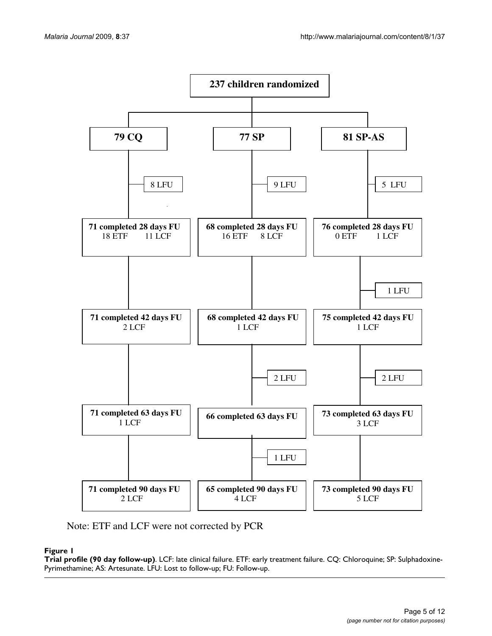

Note: ETF and LCF were not corrected by PCR

### **Figure 1**

**Trial profile (90 day follow-up)**. LCF: late clinical failure. ETF: early treatment failure. CQ: Chloroquine; SP: Sulphadoxine-Pyrimethamine; AS: Artesunate. LFU: Lost to follow-up; FU: Follow-up.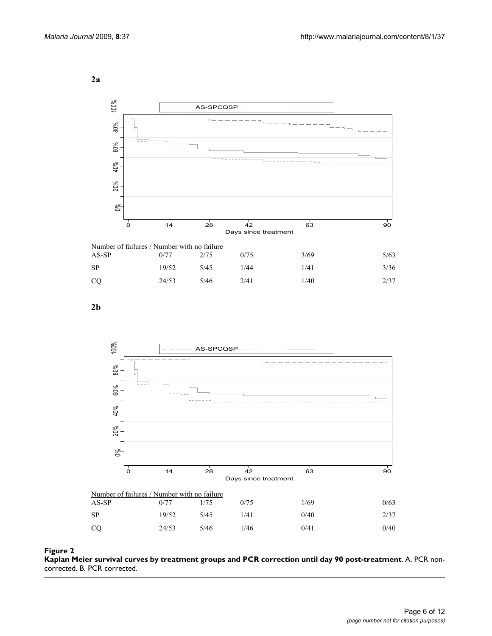2a



2b



Kaplan Meier survival curves by treatment grou **Figure 2** ps and PCR correction until day 90 post-treatment **Kaplan Meier survival curves by treatment groups and PCR correction until day 90 post-treatment**. A. PCR noncorrected. B. PCR corrected.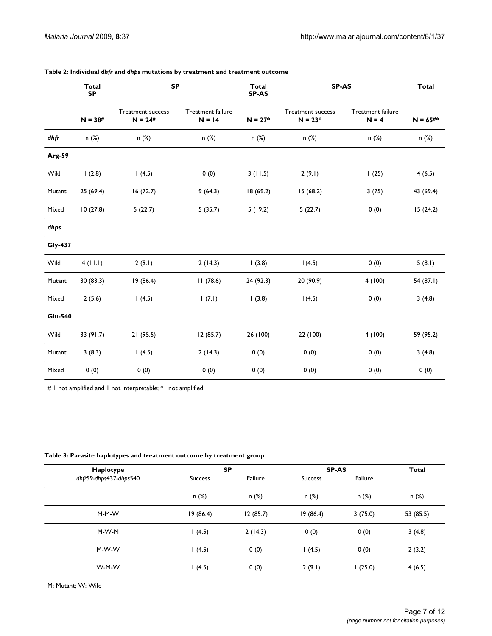|                | Total<br><b>SP</b>                    | <b>SP</b>                            |                                       | <b>Total</b><br><b>SP-AS</b><br>$N = 27*$ | SP-AS                        | <b>Total</b> |           |
|----------------|---------------------------------------|--------------------------------------|---------------------------------------|-------------------------------------------|------------------------------|--------------|-----------|
| $N = 38#$      | <b>Treatment success</b><br>$N = 24#$ | <b>Treatment failure</b><br>$N = 14$ | <b>Treatment success</b><br>$N = 23*$ |                                           | Treatment failure<br>$N = 4$ | $N = 65$ #*  |           |
| dhfr           | n (%)                                 | n (%)                                | n (%)                                 | n (%)                                     | n (%)                        | n (%)        | n (%)     |
| Arg-59         |                                       |                                      |                                       |                                           |                              |              |           |
| Wild           | 1(2.8)                                | 1(4.5)                               | 0(0)                                  | 3(11.5)                                   | 2(9.1)                       | 1(25)        | 4(6.5)    |
| Mutant         | 25(69.4)                              | 16(72.7)                             | 9(64.3)                               | 18 (69.2)                                 | 15(68.2)                     | 3(75)        | 43 (69.4) |
| Mixed          | 10(27.8)                              | 5(22.7)                              | 5(35.7)                               | 5(19.2)                                   | 5(22.7)                      | 0(0)         | 15(24.2)  |
| dhps           |                                       |                                      |                                       |                                           |                              |              |           |
| <b>Gly-437</b> |                                       |                                      |                                       |                                           |                              |              |           |
| Wild           | 4 (11.1)                              | 2(9.1)                               | 2(14.3)                               | (3.8)                                     | 1(4.5)                       | 0(0)         | 5(8.1)    |
| Mutant         | 30(83.3)                              | 19 (86.4)                            | 11(78.6)                              | 24 (92.3)                                 | 20 (90.9)                    | 4(100)       | 54 (87.1) |
| Mixed          | 2(5.6)                                | 1(4.5)                               | 1(7.1)                                | 1(3.8)                                    | 1(4.5)                       | 0(0)         | 3(4.8)    |
| <b>Glu-540</b> |                                       |                                      |                                       |                                           |                              |              |           |
| Wild           | 33 (91.7)                             | 21 (95.5)                            | 12 (85.7)                             | 26 (100)                                  | 22 (100)                     | 4(100)       | 59 (95.2) |
| Mutant         | 3(8.3)                                | 1(4.5)                               | 2(14.3)                               | 0(0)                                      | 0(0)                         | 0(0)         | 3(4.8)    |
| Mixed          | 0(0)                                  | 0(0)                                 | 0(0)                                  | 0(0)                                      | 0(0)                         | 0(0)         | 0(0)      |

#### **Table 2: Individual** *dhfr* **and** *dhps* **mutations by treatment and treatment outcome**

# 1 not amplified and 1 not interpretable; \*1 not amplified

#### **Table 3: Parasite haplotypes and treatment outcome by treatment group**

| Haplotype              | SP             |          | <b>SP-AS</b>   | Total   |           |
|------------------------|----------------|----------|----------------|---------|-----------|
| dhfr59-dhps437-dhps540 | <b>Success</b> | Failure  | <b>Success</b> | Failure |           |
|                        | n (%)          | n (%)    | n (%)          | n (%)   | n (%)     |
| M-M-W                  | 19(86.4)       | 12(85.7) | 19(86.4)       | 3(75.0) | 53 (85.5) |
| M-W-M                  | 1(4.5)         | 2(14.3)  | 0(0)           | 0(0)    | 3(4.8)    |
| M-W-W                  | 1(4.5)         | 0(0)     | 1(4.5)         | 0(0)    | 2(3.2)    |
| W-M-W                  | 1(4.5)         | 0(0)     | 2(9.1)         | (25.0)  | 4(6.5)    |

M: Mutant; W: Wild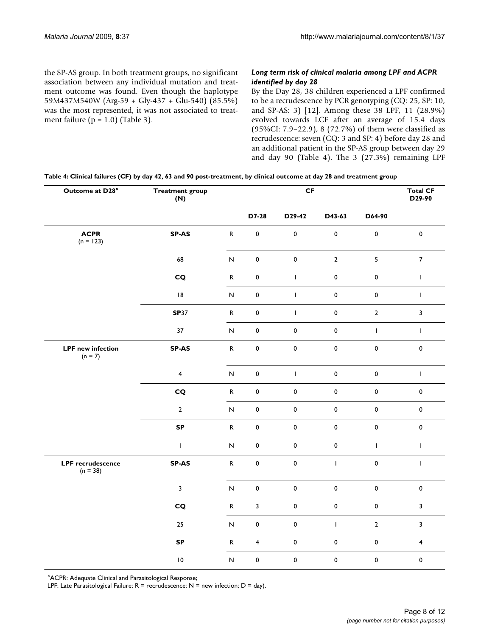the SP-AS group. In both treatment groups, no significant association between any individual mutation and treatment outcome was found. Even though the haplotype 59M437M540W (Arg-59 + Gly-437 + Glu-540) (85.5%) was the most represented, it was not associated to treatment failure ( $p = 1.0$ ) (Table 3).

#### *Long term risk of clinical malaria among LPF and ACPR identified by day 28*

By the Day 28, 38 children experienced a LPF confirmed to be a recrudescence by PCR genotyping (CQ: 25, SP: 10, and SP-AS: 3) [12]. Among these 38 LPF, 11 (28.9%) evolved towards LCF after an average of 15.4 days (95%CI: 7.9–22.9), 8 (72.7%) of them were classified as recrudescence: seven (CQ: 3 and SP: 4) before day 28 and an additional patient in the SP-AS group between day 29 and day 90 (Table 4). The 3 (27.3%) remaining LPF

|  |  | Table 4: Clinical failures (CF) by day 42, 63 and 90 post-treatment, by clinical outcome at day 28 and treatment group |
|--|--|------------------------------------------------------------------------------------------------------------------------|
|  |  |                                                                                                                        |

| Outcome at D28°                        | <b>Treatment group</b><br>(N) |              | $\mathsf{CF}$           |                    |                |                         |                         |
|----------------------------------------|-------------------------------|--------------|-------------------------|--------------------|----------------|-------------------------|-------------------------|
|                                        |                               |              | D7-28                   | D <sub>29-42</sub> | D43-63         | D64-90                  |                         |
| <b>ACPR</b><br>$(n = 123)$             | SP-AS                         | ${\sf R}$    | $\pmb{0}$               | $\pmb{0}$          | $\pmb{0}$      | $\pmb{0}$               | $\pmb{0}$               |
|                                        | 68                            | $\sf N$      | $\pmb{0}$               | $\pmb{0}$          | $\overline{2}$ | $\overline{\mathbf{5}}$ | $\overline{7}$          |
|                                        | ${\sf c}{\sf q}$              | $\mathsf{R}$ | $\pmb{0}$               | $\mathsf{L}$       | $\pmb{0}$      | $\pmb{0}$               | $\mathsf I$             |
|                                        | 8                             | $\sf N$      | $\pmb{0}$               | $\mathbf{I}$       | $\pmb{0}$      | $\pmb{0}$               | $\mathsf I$             |
|                                        | <b>SP37</b>                   | $\mathsf{R}$ | $\pmb{0}$               | $\mathbf{I}$       | $\pmb{0}$      | $\mathbf{2}$            | $\mathbf{3}$            |
|                                        | 37                            | $\sf N$      | $\pmb{0}$               | $\pmb{0}$          | $\pmb{0}$      | $\mathsf I$             | $\mathsf I$             |
| <b>LPF new infection</b><br>$(n = 7)$  | SP-AS                         | $\mathsf{R}$ | $\pmb{0}$               | $\pmb{0}$          | $\pmb{0}$      | $\pmb{0}$               | $\pmb{0}$               |
|                                        | $\overline{4}$                | ${\sf N}$    | $\pmb{0}$               | $\mathsf I$        | $\pmb{0}$      | $\pmb{0}$               | $\mathsf I$             |
|                                        | ${\sf c}{\sf q}$              | ${\sf R}$    | $\pmb{0}$               | $\pmb{0}$          | $\pmb{0}$      | $\pmb{0}$               | 0                       |
|                                        | $\overline{2}$                | ${\sf N}$    | $\pmb{0}$               | $\pmb{0}$          | $\pmb{0}$      | $\pmb{0}$               | $\pmb{0}$               |
|                                        | SP                            | ${\sf R}$    | $\pmb{0}$               | $\pmb{0}$          | $\pmb{0}$      | $\pmb{0}$               | $\pmb{0}$               |
|                                        | $\mathbf{I}$                  | ${\sf N}$    | $\pmb{0}$               | $\pmb{0}$          | $\pmb{0}$      | $\mathbf{I}$            | $\mathsf I$             |
| <b>LPF</b> recrudescence<br>$(n = 38)$ | SP-AS                         | $\mathsf{R}$ | $\pmb{0}$               | $\pmb{0}$          | $\mathsf I$    | $\pmb{0}$               | $\mathbf{I}$            |
|                                        | $\overline{\mathbf{3}}$       | $\sf N$      | $\pmb{0}$               | $\pmb{0}$          | $\pmb{0}$      | $\pmb{0}$               | $\pmb{0}$               |
|                                        | CQ                            | $\mathsf{R}$ | $\overline{\mathbf{3}}$ | $\pmb{0}$          | $\pmb{0}$      | $\pmb{0}$               | $\mathbf{3}$            |
|                                        | 25                            | $\sf N$      | $\pmb{0}$               | $\pmb{0}$          | $\mathsf I$    | $\mathbf 2$             | $\mathbf{3}$            |
|                                        | SP                            | ${\sf R}$    | $\overline{\mathbf{4}}$ | $\pmb{0}$          | $\pmb{0}$      | $\pmb{0}$               | $\overline{\mathbf{4}}$ |
|                                        | $\,$ l $\,$ 0 $\,$            | $\sf N$      | $\pmb{0}$               | $\pmb{0}$          | $\pmb{0}$      | $\pmb{0}$               | $\pmb{0}$               |

°ACPR: Adequate Clinical and Parasitological Response;

LPF: Late Parasitological Failure;  $R =$  recrudescence;  $N =$  new infection;  $D =$  day).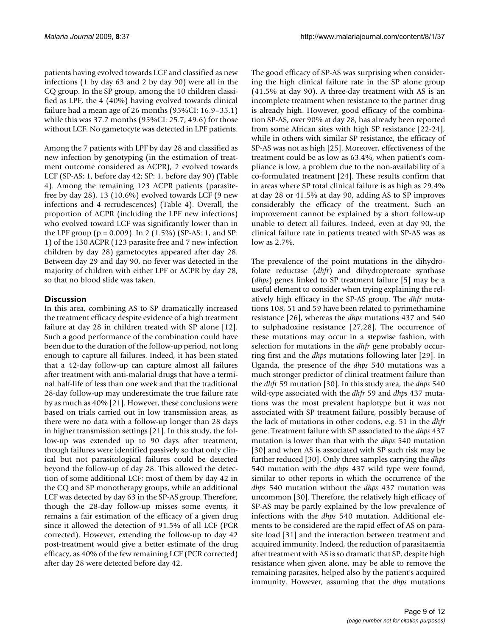patients having evolved towards LCF and classified as new infections (1 by day 63 and 2 by day 90) were all in the CQ group. In the SP group, among the 10 children classified as LPF, the 4 (40%) having evolved towards clinical failure had a mean age of 26 months (95%CI: 16.9–35.1) while this was 37.7 months (95%CI: 25.7; 49.6) for those without LCF. No gametocyte was detected in LPF patients.

Among the 7 patients with LPF by day 28 and classified as new infection by genotyping (in the estimation of treatment outcome considered as ACPR), 2 evolved towards LCF (SP-AS: 1, before day 42; SP: 1, before day 90) (Table 4). Among the remaining 123 ACPR patients (parasitefree by day 28), 13 (10.6%) evolved towards LCF (9 new infections and 4 recrudescences) (Table 4). Overall, the proportion of ACPR (including the LPF new infections) who evolved toward LCF was significantly lower than in the LPF group ( $p = 0.009$ ). In 2 (1.5%) (SP-AS: 1, and SP: 1) of the 130 ACPR (123 parasite free and 7 new infection children by day 28) gametocytes appeared after day 28. Between day 29 and day 90, no fever was detected in the majority of children with either LPF or ACPR by day 28, so that no blood slide was taken.

### **Discussion**

In this area, combining AS to SP dramatically increased the treatment efficacy despite evidence of a high treatment failure at day 28 in children treated with SP alone [12]. Such a good performance of the combination could have been due to the duration of the follow-up period, not long enough to capture all failures. Indeed, it has been stated that a 42-day follow-up can capture almost all failures after treatment with anti-malarial drugs that have a terminal half-life of less than one week and that the traditional 28-day follow-up may underestimate the true failure rate by as much as 40% [21]. However, these conclusions were based on trials carried out in low transmission areas, as there were no data with a follow-up longer than 28 days in higher transmission settings [21]. In this study, the follow-up was extended up to 90 days after treatment, though failures were identified passively so that only clinical but not parasitological failures could be detected beyond the follow-up of day 28. This allowed the detection of some additional LCF; most of them by day 42 in the CQ and SP monotherapy groups, while an additional LCF was detected by day 63 in the SP-AS group. Therefore, though the 28-day follow-up misses some events, it remains a fair estimation of the efficacy of a given drug since it allowed the detection of 91.5% of all LCF (PCR corrected). However, extending the follow-up to day 42 post-treatment would give a better estimate of the drug efficacy, as 40% of the few remaining LCF (PCR corrected) after day 28 were detected before day 42.

The good efficacy of SP-AS was surprising when considering the high clinical failure rate in the SP alone group (41.5% at day 90). A three-day treatment with AS is an incomplete treatment when resistance to the partner drug is already high. However, good efficacy of the combination SP-AS, over 90% at day 28, has already been reported from some African sites with high SP resistance [\[22](#page-10-1)-24], while in others with similar SP resistance, the efficacy of SP-AS was not as high [25]. Moreover, effectiveness of the treatment could be as low as 63.4%, when patient's compliance is low, a problem due to the non-availability of a co-formulated treatment [24]. These results confirm that in areas where SP total clinical failure is as high as 29.4% at day 28 or 41.5% at day 90, adding AS to SP improves considerably the efficacy of the treatment. Such an improvement cannot be explained by a short follow-up unable to detect all failures. Indeed, even at day 90, the clinical failure rate in patients treated with SP-AS was as low as 2.7%.

The prevalence of the point mutations in the dihydrofolate reductase (*dhfr*) and dihydropteroate synthase (*dhps*) genes linked to SP treatment failure [5] may be a useful element to consider when trying explaining the relatively high efficacy in the SP-AS group. The *dhfr* mutations 108, 51 and 59 have been related to pyrimethamine resistance [26], whereas the *dhps* mutations 437 and 540 to sulphadoxine resistance [27,28]. The occurrence of these mutations may occur in a stepwise fashion, with selection for mutations in the *dhfr* gene probably occurring first and the *dhps* mutations following later [29]. In Uganda, the presence of the *dhps* 540 mutations was a much stronger predictor of clinical treatment failure than the *dhfr* 59 mutation [30]. In this study area, the *dhps* 540 wild-type associated with the *dhfr* 59 and *dhps* 437 mutations was the most prevalent haplotype but it was not associated with SP treatment failure, possibly because of the lack of mutations in other codons, e.g. 51 in the *dhfr* gene. Treatment failure with SP associated to the *dhps* 437 mutation is lower than that with the *dhps* 540 mutation [30] and when AS is associated with SP such risk may be further reduced [30]. Only three samples carrying the *dhps* 540 mutation with the *dhps* 437 wild type were found, similar to other reports in which the occurrence of the *dhps* 540 mutation without the *dhps* 437 mutation was uncommon [30]. Therefore, the relatively high efficacy of SP-AS may be partly explained by the low prevalence of infections with the *dhps* 540 mutation. Additional elements to be considered are the rapid effect of AS on parasite load [31] and the interaction between treatment and acquired immunity. Indeed, the reduction of parasitaemia after treatment with AS is so dramatic that SP, despite high resistance when given alone, may be able to remove the remaining parasites, helped also by the patient's acquired immunity. However, assuming that the *dhps* mutations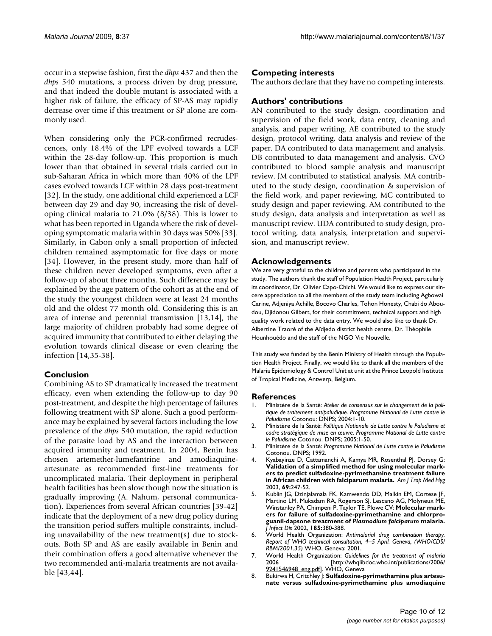occur in a stepwise fashion, first the *dhps* 437 and then the *dhps* 540 mutations, a process driven by drug pressure, and that indeed the double mutant is associated with a higher risk of failure, the efficacy of SP-AS may rapidly decrease over time if this treatment or SP alone are commonly used.

When considering only the PCR-confirmed recrudescences, only 18.4% of the LPF evolved towards a LCF within the 28-day follow-up. This proportion is much lower than that obtained in several trials carried out in sub-Saharan Africa in which more than 40% of the LPF cases evolved towards LCF within 28 days post-treatment [32]. In the study, one additional child experienced a LCF between day 29 and day 90, increasing the risk of developing clinical malaria to 21.0% (8/38). This is lower to what has been reported in Uganda where the risk of developing symptomatic malaria within 30 days was 50% [33]. Similarly, in Gabon only a small proportion of infected children remained asymptomatic for five days or more [34]. However, in the present study, more than half of these children never developed symptoms, even after a follow-up of about three months. Such difference may be explained by the age pattern of the cohort as at the end of the study the youngest children were at least 24 months old and the oldest 77 month old. Considering this is an area of intense and perennial transmission [13,14], the large majority of children probably had some degree of acquired immunity that contributed to either delaying the evolution towards clinical disease or even clearing the infection [14,35-38].

#### **Conclusion**

Combining AS to SP dramatically increased the treatment efficacy, even when extending the follow-up to day 90 post-treatment, and despite the high percentage of failures following treatment with SP alone. Such a good performance may be explained by several factors including the low prevalence of the *dhps* 540 mutation, the rapid reduction of the parasite load by AS and the interaction between acquired immunity and treatment. In 2004, Benin has chosen artemether-lumefantrine and amodiaquineartesunate as recommended first-line treatments for uncomplicated malaria. Their deployment in peripheral health facilities has been slow though now the situation is gradually improving (A. Nahum, personal communication). Experiences from several African countries [39-42] indicate that the deployment of a new drug policy during the transition period suffers multiple constraints, including unavailability of the new treatment(s) due to stockouts. Both SP and AS are easily available in Benin and their combination offers a good alternative whenever the two recommended anti-malaria treatments are not available [43,44].

#### **Competing interests**

The authors declare that they have no competing interests.

#### **Authors' contributions**

AN contributed to the study design, coordination and supervision of the field work, data entry, cleaning and analysis, and paper writing. AE contributed to the study design, protocol writing, data analysis and review of the paper. DA contributed to data management and analysis. DB contributed to data management and analysis. CVO contributed to blood sample analysis and manuscript review. JM contributed to statistical analysis. MA contributed to the study design, coordination & supervision of the field work, and paper reviewing. MC contributed to study design and paper reviewing. AM contributed to the study design, data analysis and interpretation as well as manuscript review. UDA contributed to study design, protocol writing, data analysis, interpretation and supervision, and manuscript review.

#### **Acknowledgements**

We are very grateful to the children and parents who participated in the study. The authors thank the staff of Population Health Project, particularly its coordinator, Dr. Olivier Capo-Chichi. We would like to express our sincere appreciation to all the members of the study team including Agbowai Carine, Adjeniya Achille, Bocovo Charles, Tohon Honesty, Chabi do Aboudou, Djidonou Gilbert, for their commitment, technical support and high quality work related to the data entry. We would also like to thank Dr. Albertine Traoré of the Aïdjedo district health centre, Dr. Théophile Hounhouédo and the staff of the NGO Vie Nouvelle.

This study was funded by the Benin Ministry of Health through the Population Health Project. Finally, we would like to thank all the members of the Malaria Epidemiology & Control Unit at unit at the Prince Leopold Institute of Tropical Medicine, Antwerp, Belgium.

#### **References**

- 1. Ministère de la Santé: *Atelier de consensus sur le changement de la politique de traitement antipaludique. Programme National de Lutte contre le Paludisme* Cotonou: DNPS; 2004:1-10.
- 2. Ministère de la Santé: *Politique Nationale de Lutte contre le Paludisme et cadre stratégique de mise en œuvre. Programme National de Lutte contre le Paludisme* Cotonou. DNPS; 2005:1-50.
- 3. Ministère de la Santé: *Programme National de Lutte contre le Paludisme* Cotonou. DNPS; 1992.
- 4. Kyabayinze D, Cattamanchi A, Kamya MR, Rosenthal PJ, Dorsey G: **[Validation of a simplified method for using molecular mark](http://www.ncbi.nlm.nih.gov/entrez/query.fcgi?cmd=Retrieve&db=PubMed&dopt=Abstract&list_uids=14628939)ers to predict sulfadoxine-pyrimethamine treatment failure [in African children with falciparum malaria.](http://www.ncbi.nlm.nih.gov/entrez/query.fcgi?cmd=Retrieve&db=PubMed&dopt=Abstract&list_uids=14628939)** *Am J Trop Med Hyg* 2003, **69:**247-52.
- 5. Kublin JG, Dzinjalamala FK, Kamwendo DD, Malkin EM, Cortese JF, Martino LM, Mukadam RA, Rogerson SJ, Lescano AG, Molyneux ME, Winstanley PA, Chimpeni P, Taylor TE, Plowe CV: **Molecular markers for failure of sulfadoxine-pyrimethamine and chlorproguanil-dapsone treatment of** *Plasmodium falciparum* **[malaria.](http://www.ncbi.nlm.nih.gov/entrez/query.fcgi?cmd=Retrieve&db=PubMed&dopt=Abstract&list_uids=11807721)** *J Infect Dis* 2002, **185:**380-388.
- 6. World Health Organization: *Antimalarial drug combination therapy. Report of WHO technical consultation, 4–5 April. Geneva, (WHO/CDS/ RBM/2001.35)* WHO, Geneva; 2001.
- 7. World Health Organization: *Guidelines for the treatment of malaria* 2006 [\[http://whqlibdoc.who.int/publications/2006/](http://whqlibdoc.who.int/publications/2006/9241546948_eng.pdf) <u>[9241546948\\_eng.pdf](http://whqlibdoc.who.int/publications/2006/9241546948_eng.pdf)]</u>. WHO, Geneva
- 8. Bukirwa H, Critchley J: **[Sulfadoxine-pyrimethamine plus artesu](http://www.ncbi.nlm.nih.gov/entrez/query.fcgi?cmd=Retrieve&db=PubMed&dopt=Abstract&list_uids=16437507)[nate versus sulfadoxine-pyrimethamine plus amodiaquine](http://www.ncbi.nlm.nih.gov/entrez/query.fcgi?cmd=Retrieve&db=PubMed&dopt=Abstract&list_uids=16437507)**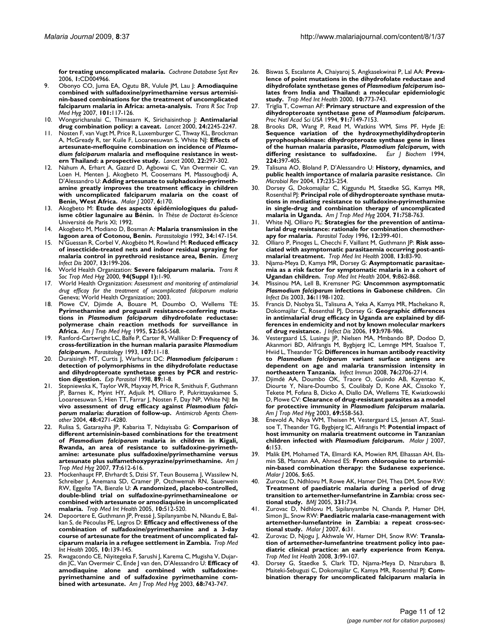**[for treating uncomplicated malaria.](http://www.ncbi.nlm.nih.gov/entrez/query.fcgi?cmd=Retrieve&db=PubMed&dopt=Abstract&list_uids=16437507)** *Cochrane Database Syst Rev* 2006, **1:**CD004966.

- 9. Obonyo CO, Juma EA, Ogutu BR, Vulule JM, Lau J: **[Amodiaquine](http://www.ncbi.nlm.nih.gov/entrez/query.fcgi?cmd=Retrieve&db=PubMed&dopt=Abstract&list_uids=16978673) [combined with sulfadoxine/pyrimethamine versus artemisi](http://www.ncbi.nlm.nih.gov/entrez/query.fcgi?cmd=Retrieve&db=PubMed&dopt=Abstract&list_uids=16978673)nin-based combinations for the treatment of uncomplicated [falciparum malaria in Africa: ameta-analysis.](http://www.ncbi.nlm.nih.gov/entrez/query.fcgi?cmd=Retrieve&db=PubMed&dopt=Abstract&list_uids=16978673)** *Trans R Soc Trop Med Hyg* 2007, **101:**117-126.
- 10. Wongsrichanalai C, Thimasarn K, Sirichaisinthop J: **Antimalarial drug combination policy: a caveat.** *Lancet* 2000, **24:**2245-2247.
- 11. Nosten F, van Vugt M, Price R, Luxemburger C, Thway KL, Brockman A, McGready R, ter Kuile F, Looareesuwan S, White NJ: **Effects of artesunate-mefloquine combination on incidence of** *Plasmodium falciparum* **malaria and mefloquine resistance in western Thailand: a prospective study.** *Lancet* 2000, **22:**297-302.
- 12. Nahum A, Erhart A, Gazard D, Agbowai C, Van Overmeir C, van Loen H, Menten J, Akogbeto M, Coosemans M, Massougbodji A, D'Alessandro U: **[Adding artesunate to sulphadoxine-pyrimeth](http://www.ncbi.nlm.nih.gov/entrez/query.fcgi?cmd=Retrieve&db=PubMed&dopt=Abstract&list_uids=18154655)[amine greatly improves the treatment efficacy in children](http://www.ncbi.nlm.nih.gov/entrez/query.fcgi?cmd=Retrieve&db=PubMed&dopt=Abstract&list_uids=18154655) with uncomplicated falciparum malaria on the coast of [Benin, West Africa.](http://www.ncbi.nlm.nih.gov/entrez/query.fcgi?cmd=Retrieve&db=PubMed&dopt=Abstract&list_uids=18154655)** *Malar J* 2007, **6:**170.
- 13. Akogbeto M: **Etude des aspects épidémiologiques du paludisme côtier lagunaire au Bénin.** In *Thèse de Doctorat ès-Science* Université de Paris XI; 1992.
- 14. Akogbeto M, Modiano D, Bosman A: **[Malaria transmission in the](http://www.ncbi.nlm.nih.gov/entrez/query.fcgi?cmd=Retrieve&db=PubMed&dopt=Abstract&list_uids=1339969) [lagoon area of Cotonou, Benin.](http://www.ncbi.nlm.nih.gov/entrez/query.fcgi?cmd=Retrieve&db=PubMed&dopt=Abstract&list_uids=1339969)** *Parassitologia* 1992, **34:**147-154.
- 15. N'Guessan R, Corbel V, Akogbéto M, Rowland M: **[Reduced efficacy](http://www.ncbi.nlm.nih.gov/entrez/query.fcgi?cmd=Retrieve&db=PubMed&dopt=Abstract&list_uids=17479880) [of insecticide-treated nets and indoor residual spraying for](http://www.ncbi.nlm.nih.gov/entrez/query.fcgi?cmd=Retrieve&db=PubMed&dopt=Abstract&list_uids=17479880) [malaria control in pyrethroid resistance area, Benin.](http://www.ncbi.nlm.nih.gov/entrez/query.fcgi?cmd=Retrieve&db=PubMed&dopt=Abstract&list_uids=17479880)** *Emerg Infect Dis* 2007, **13:**199-206.
- 16. World Health Organization: **Severe falciparum malaria.** *Trans R Soc Trop Med Hyg* 2000, **94(Suppl 1):**1-90.
- 17. World Health Organization: *Assessment and monitoring of antimalarial drug efficay for the treatment of uncomplicated falciparum malaria* Geneva; World Health Organization; 2003.
- <span id="page-10-0"></span>18. Plowe CV, Djimde A, Bouare M, Doumbo O, Wellems TE: **Pyrimethamine and proguanil resistance-conferring mutations in** *Plasmodium falciparum* **[dihydrofolate reductase:](http://www.ncbi.nlm.nih.gov/entrez/query.fcgi?cmd=Retrieve&db=PubMed&dopt=Abstract&list_uids=7611566) [polymerase chain reaction methods for surveillance in](http://www.ncbi.nlm.nih.gov/entrez/query.fcgi?cmd=Retrieve&db=PubMed&dopt=Abstract&list_uids=7611566) [Africa.](http://www.ncbi.nlm.nih.gov/entrez/query.fcgi?cmd=Retrieve&db=PubMed&dopt=Abstract&list_uids=7611566)** *Am J Trop Med Hyg* 1995, **52:**565-568.
- 19. Ranford-Cartwright LC, Balfe P, Carter R, Walliker D: **Frequency of cross-fertilization in the human malaria parasite** *Plasmodium falciparum***[.](http://www.ncbi.nlm.nih.gov/entrez/query.fcgi?cmd=Retrieve&db=PubMed&dopt=Abstract&list_uids=8355994)** *Parasitology* 1993, **107:**11-18.
- 20. Duraisingh MT, Curtis J, Warhurst DC: *Plasmodium falciparum* **[:](http://www.ncbi.nlm.nih.gov/entrez/query.fcgi?cmd=Retrieve&db=PubMed&dopt=Abstract&list_uids=9603482) [detection of polymorphisms in the dihydrofolate reductase](http://www.ncbi.nlm.nih.gov/entrez/query.fcgi?cmd=Retrieve&db=PubMed&dopt=Abstract&list_uids=9603482) and dihydropteroate synthetase genes by PCR and restric[tion digestion.](http://www.ncbi.nlm.nih.gov/entrez/query.fcgi?cmd=Retrieve&db=PubMed&dopt=Abstract&list_uids=9603482)** *Exp Parasitol* 1998, **89:**1-8.
- 21. Stepniewska K, Taylor WR, Mayxay M, Price R, Smithuis F, Guthmann JP, Barnes K, Myint HY, Adjuik M, Olliaro P, Pukrittayakamee S, Looareesuwan S, Hien TT, Farrar J, Nosten F, Day NP, White NJ: **In vivo assessment of drug efficacy against** *Plasmodium falciparum* **[malaria: duration of follow-up.](http://www.ncbi.nlm.nih.gov/entrez/query.fcgi?cmd=Retrieve&db=PubMed&dopt=Abstract&list_uids=15504852)** *Antimicrob Agents Chemother* 2004, **48:**4271-4280.
- <span id="page-10-1"></span>22. Rulisa S, Gatarayiha JP, Kabarisa T, Ndayisaba G: **Comparison of different artemisinin-based combinations for the treatment of** *Plasmodium falciparum* **[malaria in children in Kigali,](http://www.ncbi.nlm.nih.gov/entrez/query.fcgi?cmd=Retrieve&db=PubMed&dopt=Abstract&list_uids=17978058) [Rwanda, an area of resistance to sulfadoxine-pyrimeth](http://www.ncbi.nlm.nih.gov/entrez/query.fcgi?cmd=Retrieve&db=PubMed&dopt=Abstract&list_uids=17978058)amine: artesunate plus sulfadoxine/pyrimethamine versus [artesunate plus sulfamethoxypyrazine/pyrimethamine.](http://www.ncbi.nlm.nih.gov/entrez/query.fcgi?cmd=Retrieve&db=PubMed&dopt=Abstract&list_uids=17978058)** *Am J Trop Med Hyg* 2007, **77:**612-616.
- 23. Mockenhaupt FP, Ehrhardt S, Dzisi SY, Teun Bousema J, Wassilew N, Schreiber J, Anemana SD, Cramer JP, Otchwemah RN, Sauerwein RW, Eggelte TA, Bienzle U: **[A randomized, placebo-controlled,](http://www.ncbi.nlm.nih.gov/entrez/query.fcgi?cmd=Retrieve&db=PubMed&dopt=Abstract&list_uids=15941413) [double-blind trial on sulfadoxine-pyrimethaminealone or](http://www.ncbi.nlm.nih.gov/entrez/query.fcgi?cmd=Retrieve&db=PubMed&dopt=Abstract&list_uids=15941413) combined with artesunate or amodiaquine in uncomplicated [malaria.](http://www.ncbi.nlm.nih.gov/entrez/query.fcgi?cmd=Retrieve&db=PubMed&dopt=Abstract&list_uids=15941413)** *Trop Med Int Health* 2005, **10:**512-520.
- 24. Depoortere E, Guthmann JP, Pressé J, Sipilanyambe N, Nkandu E, Balkan S, de Pécoulas PE, Legros D: **[Efficacy and effectiveness of the](http://www.ncbi.nlm.nih.gov/entrez/query.fcgi?cmd=Retrieve&db=PubMed&dopt=Abstract&list_uids=15679556) [combination of sulfadoxine/pyrimethamine and a 3-day](http://www.ncbi.nlm.nih.gov/entrez/query.fcgi?cmd=Retrieve&db=PubMed&dopt=Abstract&list_uids=15679556) course of artesunate for the treatment of uncomplicated fal[ciparum malaria in a refugee settlement in Zambia.](http://www.ncbi.nlm.nih.gov/entrez/query.fcgi?cmd=Retrieve&db=PubMed&dopt=Abstract&list_uids=15679556)** *Trop Med Int Health* 2005, **10:**139-145.
- 25. Rwagacondo CE, Niyitegeka F, Sarushi J, Karema C, Mugisha V, Dujardin JC, Van Overmeir C, Ende J van den, D'Alessandro U: **[Efficacy of](http://www.ncbi.nlm.nih.gov/entrez/query.fcgi?cmd=Retrieve&db=PubMed&dopt=Abstract&list_uids=12887037) [amodiaquine alone and combined with sulfadoxine](http://www.ncbi.nlm.nih.gov/entrez/query.fcgi?cmd=Retrieve&db=PubMed&dopt=Abstract&list_uids=12887037)pyrimethamine and of sulfadoxine pyrimethamine com[bined with artesunate.](http://www.ncbi.nlm.nih.gov/entrez/query.fcgi?cmd=Retrieve&db=PubMed&dopt=Abstract&list_uids=12887037)** *Am J Trop Med Hyg* 2003, **68:**743-747.
- 26. Biswas S, Escalante A, Chaiyaroj S, Angkasekwinai P, Lal AA: **Prevalence of point mutations in the dihydrofolate reductase and dihydrofolate synthetase genes of** *Plasmodium falciparum* **isolates from India and Thailand: a molecular epidemiologic study.** *Trop Med Int Health* 2000, **10:**773-743.
- 27. Triglia T, Cowman AF: **Primary structure and expression of the dihydropteroate synthetase gene of** *Plasmodium falciparum***[.](http://www.ncbi.nlm.nih.gov/entrez/query.fcgi?cmd=Retrieve&db=PubMed&dopt=Abstract&list_uids=8041761)** *Proc Natl Acad Sci USA* 1994, **91:**7149-7153.
- 28. Brooks DR, Wang P, Read M, Watkins WM, Sims PF, Hyde JE: **Sequence variation of the hydroxymethyldihydropterin pyrophosphokinase: dihydropteroate synthase gene in lines of the human malaria parasite,** *Plasmodium falciparum***[, with](http://www.ncbi.nlm.nih.gov/entrez/query.fcgi?cmd=Retrieve&db=PubMed&dopt=Abstract&list_uids=7925353) [differing resistance to sulfadoxine.](http://www.ncbi.nlm.nih.gov/entrez/query.fcgi?cmd=Retrieve&db=PubMed&dopt=Abstract&list_uids=7925353)** *Eur J Biochem* 1994, **224:**397-405.
- 29. Talisuna AO, Bloland P, D'Alessandro U: **[History, dynamics, and](http://www.ncbi.nlm.nih.gov/entrez/query.fcgi?cmd=Retrieve&db=PubMed&dopt=Abstract&list_uids=14726463) [public health importance of malaria parasite resistance.](http://www.ncbi.nlm.nih.gov/entrez/query.fcgi?cmd=Retrieve&db=PubMed&dopt=Abstract&list_uids=14726463)** *Clin Microbiol Rev* 2004, **17:**235-254.
- Dorsey G, Dokomajilar C, Kiggundu M, Staedke SG, Kamya MR, Rosenthal PJ: **[Principal role of dihydropteroate synthase muta](http://www.ncbi.nlm.nih.gov/entrez/query.fcgi?cmd=Retrieve&db=PubMed&dopt=Abstract&list_uids=15642967)[tions in mediating resistance to sulfadoxine-pyrimethamine](http://www.ncbi.nlm.nih.gov/entrez/query.fcgi?cmd=Retrieve&db=PubMed&dopt=Abstract&list_uids=15642967) in single-drug and combination therapy of uncomplicated [malaria in Uganda.](http://www.ncbi.nlm.nih.gov/entrez/query.fcgi?cmd=Retrieve&db=PubMed&dopt=Abstract&list_uids=15642967)** *Am J Trop Med Hyg* 2004, **71:**758-763.
- White NJ, Olliaro PL: [Strategies for the prevention of antima](http://www.ncbi.nlm.nih.gov/entrez/query.fcgi?cmd=Retrieve&db=PubMed&dopt=Abstract&list_uids=15275291)**[larial drug resistance: rationale for combination chemother](http://www.ncbi.nlm.nih.gov/entrez/query.fcgi?cmd=Retrieve&db=PubMed&dopt=Abstract&list_uids=15275291)[apy for malaria.](http://www.ncbi.nlm.nih.gov/entrez/query.fcgi?cmd=Retrieve&db=PubMed&dopt=Abstract&list_uids=15275291)** *Parasitol Today* 1996, **12:**399-401.
- 32. Olliaro P, Pinoges L, Checchi F, Vaillant M, Guthmann JP: **[Risk asso](http://www.ncbi.nlm.nih.gov/entrez/query.fcgi?cmd=Retrieve&db=PubMed&dopt=Abstract&list_uids=18291006)[ciated with asymptomatic parasitaemia occurring post-anti](http://www.ncbi.nlm.nih.gov/entrez/query.fcgi?cmd=Retrieve&db=PubMed&dopt=Abstract&list_uids=18291006)[malarial treatment.](http://www.ncbi.nlm.nih.gov/entrez/query.fcgi?cmd=Retrieve&db=PubMed&dopt=Abstract&list_uids=18291006)** *Trop Med Int Health* 2008, **13:**83-90.
- 33. Njama-Meya D, Kamya MR, Dorsey G: **[Asymptomatic parasitae](http://www.ncbi.nlm.nih.gov/entrez/query.fcgi?cmd=Retrieve&db=PubMed&dopt=Abstract&list_uids=15303990)[mia as a risk factor for symptomatic malaria in a cohort of](http://www.ncbi.nlm.nih.gov/entrez/query.fcgi?cmd=Retrieve&db=PubMed&dopt=Abstract&list_uids=15303990) [Ugandan children.](http://www.ncbi.nlm.nih.gov/entrez/query.fcgi?cmd=Retrieve&db=PubMed&dopt=Abstract&list_uids=15303990)** *Trop Med Int Health* 2004, **9:**862-868.
- 34. Missinou MA, Lell B, Kremsner PG: **Uncommon asymptomatic** *Plasmodium falciparum* **[infections in Gabonese children.](http://www.ncbi.nlm.nih.gov/entrez/query.fcgi?cmd=Retrieve&db=PubMed&dopt=Abstract&list_uids=12715318)** *Clin Infect Dis* 2003, **36:**1198-1202.
- 35. Francis D, Nsobya SL, Talisuna A, Yeka A, Kamya MR, Machekano R, Dokomajilar C, Rosenthal PJ, Dorsey G: **[Geographic differences](http://www.ncbi.nlm.nih.gov/entrez/query.fcgi?cmd=Retrieve&db=PubMed&dopt=Abstract&list_uids=16518760) [in antimalarial drug efficacy in Uganda are explained by dif](http://www.ncbi.nlm.nih.gov/entrez/query.fcgi?cmd=Retrieve&db=PubMed&dopt=Abstract&list_uids=16518760)ferences in endemicity and not by known molecular markers [of drug resistance.](http://www.ncbi.nlm.nih.gov/entrez/query.fcgi?cmd=Retrieve&db=PubMed&dopt=Abstract&list_uids=16518760)** *J Infect Dis* 2006, **193:**978-986.
- Vestergaard LS, Lusingu JP, Nielsen MA, Mmbando BP, Dodoo D, Akanmori BD, Alifrangis M, Bygbjerg IC, Lemnge MM, Staalsoe T, Hviid L, Theander TG: **Differences in human antibody reactivity to** *Plasmodium falciparum* **[variant surface antigens are](http://www.ncbi.nlm.nih.gov/entrez/query.fcgi?cmd=Retrieve&db=PubMed&dopt=Abstract&list_uids=18250179) [dependent on age and malaria transmission intensity in](http://www.ncbi.nlm.nih.gov/entrez/query.fcgi?cmd=Retrieve&db=PubMed&dopt=Abstract&list_uids=18250179) [northeastern Tanzania.](http://www.ncbi.nlm.nih.gov/entrez/query.fcgi?cmd=Retrieve&db=PubMed&dopt=Abstract&list_uids=18250179)** *Infect Immun* 2008, **76:**2706-2714.
- Djimdé AA, Doumbo OK, Traore O, Guindo AB, Kayentao K, Diourte Y, Niare-Doumbo S, Coulibaly D, Kone AK, Cissoko Y, Tekete M, Fofana B, Dicko A, Diallo DA, Wellems TE, Kwiatkowski D, Plowe CV: **Clearance of drug-resistant parasites as a model for protective immunity in** *Plasmodium falciparum* **[malaria.](http://www.ncbi.nlm.nih.gov/entrez/query.fcgi?cmd=Retrieve&db=PubMed&dopt=Abstract&list_uids=14695097)** *Am J Trop Med Hyg* 2003, **69:**558-563.
- 38. Enevold A, Nkya WM, Theisen M, Vestergaard LS, Jensen AT, Staalsoe T, Theander TG, Bygbjerg IC, Alifrangis M: **Potential impact of host immunity on malaria treatment outcome in Tanzanian children infected with** *Plasmodium falciparum***[.](http://www.ncbi.nlm.nih.gov/entrez/query.fcgi?cmd=Retrieve&db=PubMed&dopt=Abstract&list_uids=18021388)** *Malar J* 2007, **6:**153.
- 39. Malik EM, Mohamed TA, Elmardi KA, Mowien RM, Elhassan AH, Elamin SB, Mannan AA, Ahmed ES: **[From chloroquine to artemisi](http://www.ncbi.nlm.nih.gov/entrez/query.fcgi?cmd=Retrieve&db=PubMed&dopt=Abstract&list_uids=16879742)[nin-based combination therapy: the Sudanese experience.](http://www.ncbi.nlm.nih.gov/entrez/query.fcgi?cmd=Retrieve&db=PubMed&dopt=Abstract&list_uids=16879742)** *Malar J* 2006, **5:**65.
- 40. Zurovac D, Ndhlovu M, Rowe AK, Hamer DH, Thea DM, Snow RW: **[Treatment of paediatric malaria during a period of drug](http://www.ncbi.nlm.nih.gov/entrez/query.fcgi?cmd=Retrieve&db=PubMed&dopt=Abstract&list_uids=16195289) transition to artemether-lumefantrine in Zambia: cross sec[tional study.](http://www.ncbi.nlm.nih.gov/entrez/query.fcgi?cmd=Retrieve&db=PubMed&dopt=Abstract&list_uids=16195289)** *BMJ* 2005, **331:**734.
- 41. Zurovac D, Ndhlovu M, Sipilanyambe N, Chanda P, Hamer DH, Simon JL, Snow RW: **[Paediatric malaria case-management with](http://www.ncbi.nlm.nih.gov/entrez/query.fcgi?cmd=Retrieve&db=PubMed&dopt=Abstract&list_uids=17367518) [artemether-lumefantrine in Zambia: a repeat cross-sec](http://www.ncbi.nlm.nih.gov/entrez/query.fcgi?cmd=Retrieve&db=PubMed&dopt=Abstract&list_uids=17367518)[tional study.](http://www.ncbi.nlm.nih.gov/entrez/query.fcgi?cmd=Retrieve&db=PubMed&dopt=Abstract&list_uids=17367518)** *Malar J* 2007, **6:**31.
- Zurovac D, Njogu J, Akhwale W, Hamer DH, Snow RW: Transla**tion of artemether-lumefantrine treatment policy into paediatric clinical practice: an early experience from Kenya.** *Trop Med Int Health* 2008, **3:**99-107.
- Dorsey G, Staedke S, Clark TD, Njama-Meya D, Nzarubara B, Maiteki-Sebuguzi C, Dokomajilar C, Kamya MR, Rosenthal PJ: **[Com](http://www.ncbi.nlm.nih.gov/entrez/query.fcgi?cmd=Retrieve&db=PubMed&dopt=Abstract&list_uids=17519410)[bination therapy for uncomplicated falciparum malaria in](http://www.ncbi.nlm.nih.gov/entrez/query.fcgi?cmd=Retrieve&db=PubMed&dopt=Abstract&list_uids=17519410)**